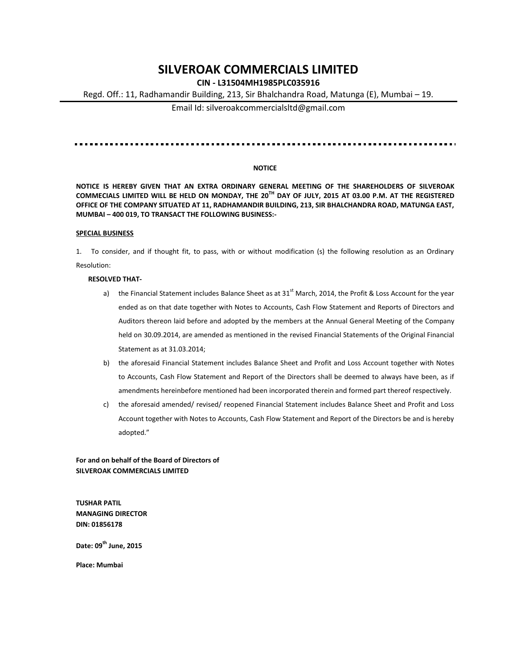# **SILVEROAK COMMERCIALS LIMITED**

# **CIN - L31504MH1985PLC035916**

Regd. Off.: 11, Radhamandir Building, 213, Sir Bhalchandra Road, Matunga (E), Mumbai – 19.

Email Id: silveroakcommercialsltd@gmail.com

#### <u>. . . . . . . . . . . . . . . . .</u>

## **NOTICE**

**NOTICE IS HEREBY GIVEN THAT AN EXTRA ORDINARY GENERAL MEETING OF THE SHAREHOLDERS OF SILVEROAK COMMECIALS LIMITED WILL BE HELD ON MONDAY, THE 20 TH DAY OF JULY, 2015 AT 03.00 P.M. AT THE REGISTERED OFFICE OF THE COMPANY SITUATED AT 11, RADHAMANDIR BUILDING, 213, SIR BHALCHANDRA ROAD, MATUNGA EAST, MUMBAI – 400 019, TO TRANSACT THE FOLLOWING BUSINESS:-**

#### **SPECIAL BUSINESS**

1. To consider, and if thought fit, to pass, with or without modification (s) the following resolution as an Ordinary Resolution:

#### **RESOLVED THAT-**

- a) the Financial Statement includes Balance Sheet as at 31<sup>st</sup> March, 2014, the Profit & Loss Account for the year ended as on that date together with Notes to Accounts, Cash Flow Statement and Reports of Directors and Auditors thereon laid before and adopted by the members at the Annual General Meeting of the Company held on 30.09.2014, are amended as mentioned in the revised Financial Statements of the Original Financial Statement as at 31.03.2014;
- b) the aforesaid Financial Statement includes Balance Sheet and Profit and Loss Account together with Notes to Accounts, Cash Flow Statement and Report of the Directors shall be deemed to always have been, as if amendments hereinbefore mentioned had been incorporated therein and formed part thereof respectively.
- c) the aforesaid amended/ revised/ reopened Financial Statement includes Balance Sheet and Profit and Loss Account together with Notes to Accounts, Cash Flow Statement and Report of the Directors be and is hereby adopted."

### **For and on behalf of the Board of Directors of SILVEROAK COMMERCIALS LIMITED**

**TUSHAR PATIL MANAGING DIRECTOR DIN: 01856178**

**Date: 09th June, 2015**

**Place: Mumbai**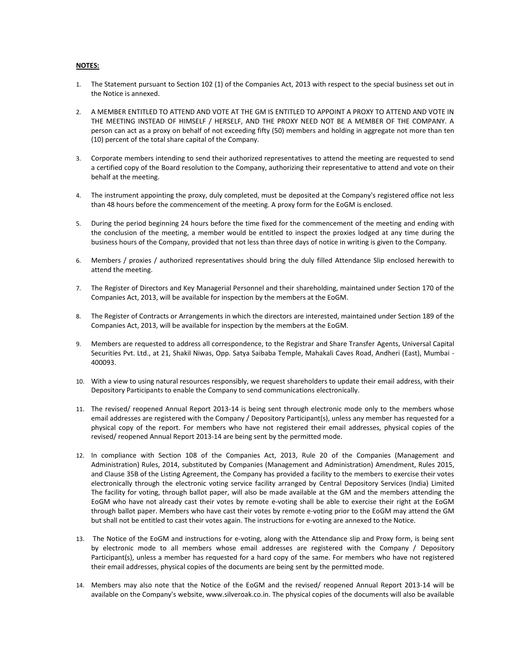### **NOTES:**

- 1. The Statement pursuant to Section 102 (1) of the Companies Act, 2013 with respect to the special business set out in the Notice is annexed.
- 2. A MEMBER ENTITLED TO ATTEND AND VOTE AT THE GM IS ENTITLED TO APPOINT A PROXY TO ATTEND AND VOTE IN THE MEETING INSTEAD OF HIMSELF / HERSELF, AND THE PROXY NEED NOT BE A MEMBER OF THE COMPANY. A person can act as a proxy on behalf of not exceeding fifty (50) members and holding in aggregate not more than ten (10) percent of the total share capital of the Company.
- 3. Corporate members intending to send their authorized representatives to attend the meeting are requested to send a certified copy of the Board resolution to the Company, authorizing their representative to attend and vote on their behalf at the meeting.
- 4. The instrument appointing the proxy, duly completed, must be deposited at the Company's registered office not less than 48 hours before the commencement of the meeting. A proxy form for the EoGM is enclosed.
- 5. During the period beginning 24 hours before the time fixed for the commencement of the meeting and ending with the conclusion of the meeting, a member would be entitled to inspect the proxies lodged at any time during the business hours of the Company, provided that not less than three days of notice in writing is given to the Company.
- 6. Members / proxies / authorized representatives should bring the duly filled Attendance Slip enclosed herewith to attend the meeting.
- 7. The Register of Directors and Key Managerial Personnel and their shareholding, maintained under Section 170 of the Companies Act, 2013, will be available for inspection by the members at the EoGM.
- 8. The Register of Contracts or Arrangements in which the directors are interested, maintained under Section 189 of the Companies Act, 2013, will be available for inspection by the members at the EoGM.
- 9. Members are requested to address all correspondence, to the Registrar and Share Transfer Agents, Universal Capital Securities Pvt. Ltd., at 21, Shakil Niwas, Opp. Satya Saibaba Temple, Mahakali Caves Road, Andheri (East), Mumbai - 400093.
- 10. With a view to using natural resources responsibly, we request shareholders to update their email address, with their Depository Participants to enable the Company to send communications electronically.
- 11. The revised/ reopened Annual Report 2013-14 is being sent through electronic mode only to the members whose email addresses are registered with the Company / Depository Participant(s), unless any member has requested for a physical copy of the report. For members who have not registered their email addresses, physical copies of the revised/ reopened Annual Report 2013-14 are being sent by the permitted mode.
- 12. In compliance with Section 108 of the Companies Act, 2013, Rule 20 of the Companies (Management and Administration) Rules, 2014, substituted by Companies (Management and Administration) Amendment, Rules 2015, and Clause 35B of the Listing Agreement, the Company has provided a facility to the members to exercise their votes electronically through the electronic voting service facility arranged by Central Depository Services (India) Limited The facility for voting, through ballot paper, will also be made available at the GM and the members attending the EoGM who have not already cast their votes by remote e-voting shall be able to exercise their right at the EoGM through ballot paper. Members who have cast their votes by remote e-voting prior to the EoGM may attend the GM but shall not be entitled to cast their votes again. The instructions for e-voting are annexed to the Notice.
- 13. The Notice of the EoGM and instructions for e-voting, along with the Attendance slip and Proxy form, is being sent by electronic mode to all members whose email addresses are registered with the Company / Depository Participant(s), unless a member has requested for a hard copy of the same. For members who have not registered their email addresses, physical copies of the documents are being sent by the permitted mode.
- 14. Members may also note that the Notice of the EoGM and the revised/ reopened Annual Report 2013-14 will be available on the Company's website, www.silveroak.co.in. The physical copies of the documents will also be available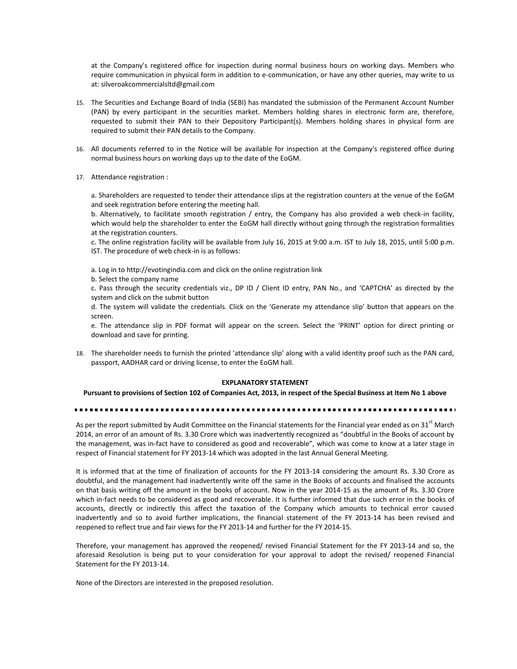at the Company's registered office for inspection during normal business hours on working days. Members who require communication in physical form in addition to e-communication, or have any other queries, may write to us at: silveroakcommercialsltd@gmail.com

- 15. The Securities and Exchange Board of India (SEBI) has mandated the submission of the Permanent Account Number (PAN) by every participant in the securities market. Members holding shares in electronic form are, therefore, requested to submit their PAN to their Depository Participant(s). Members holding shares in physical form are required to submit their PAN details to the Company.
- 16. All documents referred to in the Notice will be available for inspection at the Company's registered office during normal business hours on working days up to the date of the EoGM.
- 17. Attendance registration :

a. Shareholders are requested to tender their attendance slips at the registration counters at the venue of the EoGM and seek registration before entering the meeting hall.

b. Alternatively, to facilitate smooth registration / entry, the Company has also provided a web check-in facility, which would help the shareholder to enter the EoGM hall directly without going through the registration formalities at the registration counters.

c. The online registration facility will be available from July 16, 2015 at 9:00 a.m. IST to July 18, 2015, until 5:00 p.m. IST. The procedure of web check-in is as follows:

a. Log in to http://evotingindia.com and click on the online registration link

b. Select the company name

c. Pass through the security credentials viz., DP ID / Client ID entry, PAN No., and 'CAPTCHA' as directed by the system and click on the submit button

d. The system will validate the credentials. Click on the 'Generate my attendance slip' button that appears on the screen.

e. The attendance slip in PDF format will appear on the screen. Select the 'PRINT' option for direct printing or download and save for printing.

18. The shareholder needs to furnish the printed 'attendance slip' along with a valid identity proof such as the PAN card, passport, AADHAR card or driving license, to enter the EoGM hall.

#### **EXPLANATORY STATEMENT**

**Pursuant to provisions of Section 102 of Companies Act, 2013, in respect of the Special Business at Item No 1 above**

As per the report submitted by Audit Committee on the Financial statements for the Financial year ended as on 31 $^{\rm st}$  March 2014, an error of an amount of Rs. 3.30 Crore which was inadvertently recognized as "doubtful in the Books of account by the management, was in-fact have to considered as good and recoverable", which was come to know at a later stage in respect of Financial statement for FY 2013-14 which was adopted in the last Annual General Meeting.

It is informed that at the time of finalization of accounts for the FY 2013-14 considering the amount Rs. 3.30 Crore as doubtful, and the management had inadvertently write off the same in the Books of accounts and finalised the accounts on that basis writing off the amount in the books of account. Now in the year 2014-15 as the amount of Rs. 3.30 Crore which in-fact needs to be considered as good and recoverable. It is further informed that due such error in the books of accounts, directly or indirectly this affect the taxation of the Company which amounts to technical error caused inadvertently and so to avoid further implications, the financial statement of the FY 2013-14 has been revised and reopened to reflect true and fair views for the FY 2013-14 and further for the FY 2014-15.

Therefore, your management has approved the reopened/ revised Financial Statement for the FY 2013-14 and so, the aforesaid Resolution is being put to your consideration for your approval to adopt the revised/ reopened Financial Statement for the FY 2013-14.

None of the Directors are interested in the proposed resolution.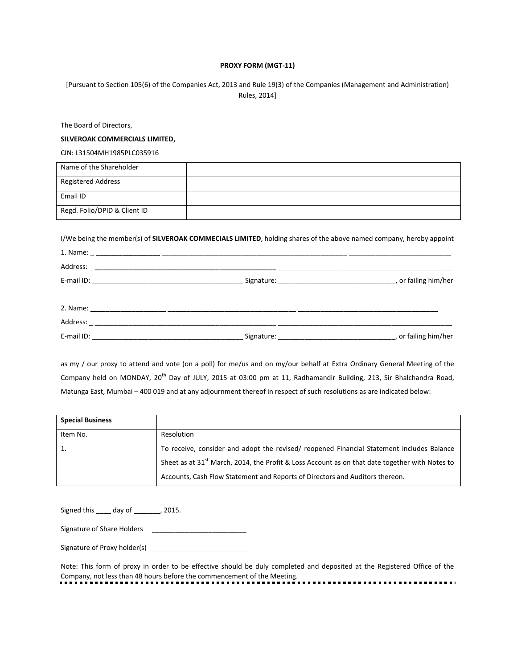## **PROXY FORM (MGT-11)**

[Pursuant to Section 105(6) of the Companies Act, 2013 and Rule 19(3) of the Companies (Management and Administration) Rules, 2014]

The Board of Directors,

# **SILVEROAK COMMERCIALS LIMITED,**

CIN: L31504MH1985PLC035916

| Name of the Shareholder      |  |
|------------------------------|--|
| <b>Registered Address</b>    |  |
| Email ID                     |  |
| Regd. Folio/DPID & Client ID |  |

I/We being the member(s) of **SILVEROAK COMMECIALS LIMITED**, holding shares of the above named company, hereby appoint

| E-mail ID: | Signature: | or failing him/her |
|------------|------------|--------------------|

as my / our proxy to attend and vote (on a poll) for me/us and on my/our behalf at Extra Ordinary General Meeting of the Company held on MONDAY, 20<sup>th</sup> Day of JULY, 2015 at 03:00 pm at 11, Radhamandir Building, 213, Sir Bhalchandra Road, Matunga East, Mumbai – 400 019 and at any adjournment thereof in respect of such resolutions as are indicated below:

| <b>Special Business</b> |                                                                                                            |
|-------------------------|------------------------------------------------------------------------------------------------------------|
| Item No.                | Resolution                                                                                                 |
| 1.                      | To receive, consider and adopt the revised/ reopened Financial Statement includes Balance                  |
|                         | Sheet as at 31 <sup>st</sup> March, 2014, the Profit & Loss Account as on that date together with Notes to |
|                         | Accounts, Cash Flow Statement and Reports of Directors and Auditors thereon.                               |

Signed this \_\_\_\_ day of \_\_\_\_\_\_\_, 2015.

Signature of Share Holders \_\_\_\_\_\_\_\_\_\_\_\_\_\_\_\_\_\_\_\_\_\_\_\_\_

Signature of Proxy holder(s) \_\_\_\_\_\_\_\_\_\_\_\_\_\_\_\_\_\_\_\_\_\_\_\_\_

Note: This form of proxy in order to be effective should be duly completed and deposited at the Registered Office of the Company, not less than 48 hours before the commencement of the Meeting.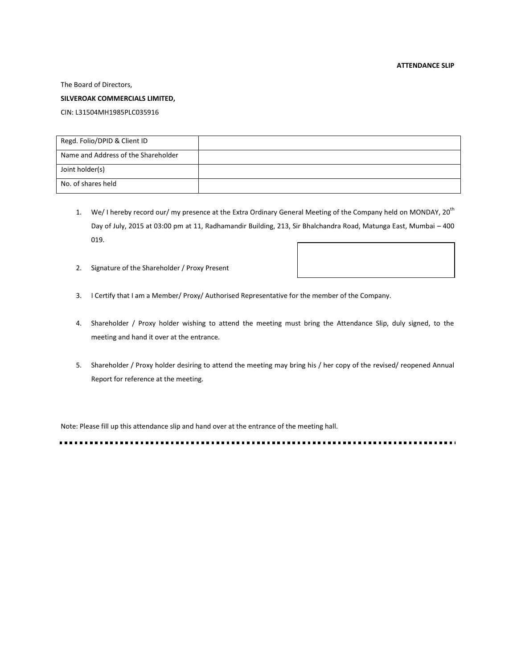The Board of Directors,

## **SILVEROAK COMMERCIALS LIMITED,**

CIN: L31504MH1985PLC035916

| Regd. Folio/DPID & Client ID        |  |
|-------------------------------------|--|
| Name and Address of the Shareholder |  |
| Joint holder(s)                     |  |
| No. of shares held                  |  |

- 1. We/ I hereby record our/my presence at the Extra Ordinary General Meeting of the Company held on MONDAY, 20<sup>th</sup> Day of July, 2015 at 03:00 pm at 11, Radhamandir Building, 213, Sir Bhalchandra Road, Matunga East, Mumbai – 400 019.
- 2. Signature of the Shareholder / Proxy Present
- 3. I Certify that I am a Member/ Proxy/ Authorised Representative for the member of the Company.
- 4. Shareholder / Proxy holder wishing to attend the meeting must bring the Attendance Slip, duly signed, to the meeting and hand it over at the entrance.
- 5. Shareholder / Proxy holder desiring to attend the meeting may bring his / her copy of the revised/ reopened Annual Report for reference at the meeting.

Note: Please fill up this attendance slip and hand over at the entrance of the meeting hall.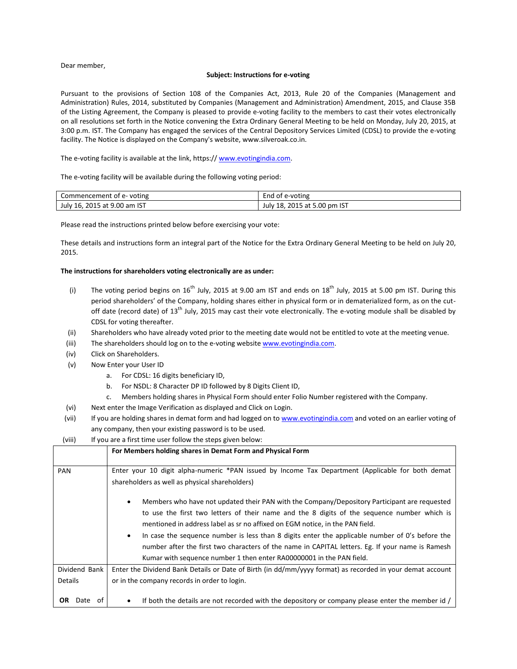Dear member,

#### **Subject: Instructions for e-voting**

Pursuant to the provisions of Section 108 of the Companies Act, 2013, Rule 20 of the Companies (Management and Administration) Rules, 2014, substituted by Companies (Management and Administration) Amendment, 2015, and Clause 35B of the Listing Agreement, the Company is pleased to provide e-voting facility to the members to cast their votes electronically on all resolutions set forth in the Notice convening the Extra Ordinary General Meeting to be held on Monday, July 20, 2015, at 3:00 p.m. IST. The Company has engaged the services of the Central Depository Services Limited (CDSL) to provide the e-voting facility. The Notice is displayed on the Company's website, www.silveroak.co.in.

The e-voting facility is available at the link, https:// [www.evotingindia.com.](http://www.evotingindia.com/)

The e-voting facility will be available during the following voting period:

| Commencement of e-voting     | l of e-voting<br>End            |
|------------------------------|---------------------------------|
| July 16, 2015 at 9.00 am IST | 18, 2015 at 5.00 pm IST<br>Julv |

Please read the instructions printed below before exercising your vote:

These details and instructions form an integral part of the Notice for the Extra Ordinary General Meeting to be held on July 20, 2015.

#### **The instructions for shareholders voting electronically are as under:**

- (i) The voting period begins on  $16^{th}$  July, 2015 at 9.00 am IST and ends on  $18^{th}$  July, 2015 at 5.00 pm IST. During this period shareholders' of the Company, holding shares either in physical form or in dematerialized form, as on the cutoff date (record date) of 13<sup>th</sup> July, 2015 may cast their vote electronically. The e-voting module shall be disabled by CDSL for voting thereafter.
- (ii) Shareholders who have already voted prior to the meeting date would not be entitled to vote at the meeting venue.
- (iii) The shareholders should log on to the e-voting websit[e www.evotingindia.com.](http://www.evotingindia.com/)
- (iv) Click on Shareholders.
- (v) Now Enter your User ID
	- a. For CDSL: 16 digits beneficiary ID,
	- b. For NSDL: 8 Character DP ID followed by 8 Digits Client ID,
	- c. Members holding shares in Physical Form should enter Folio Number registered with the Company.
- (vi) Next enter the Image Verification as displayed and Click on Login.
- (vii) If you are holding shares in demat form and had logged on t[o www.evotingindia.com](http://www.evotingindia.com/) and voted on an earlier voting of any company, then your existing password is to be used.

| (viii) | If you are a first time user follow the steps given below: |  |  |  |
|--------|------------------------------------------------------------|--|--|--|
|--------|------------------------------------------------------------|--|--|--|

| $1$ V III J<br>If you are a first time user follow the steps given below. |                                                                                                                                                                                                                                                                                                                                                                                                                                                                                                                                                                                      |  |  |
|---------------------------------------------------------------------------|--------------------------------------------------------------------------------------------------------------------------------------------------------------------------------------------------------------------------------------------------------------------------------------------------------------------------------------------------------------------------------------------------------------------------------------------------------------------------------------------------------------------------------------------------------------------------------------|--|--|
|                                                                           | For Members holding shares in Demat Form and Physical Form                                                                                                                                                                                                                                                                                                                                                                                                                                                                                                                           |  |  |
| <b>PAN</b>                                                                | Enter your 10 digit alpha-numeric *PAN issued by Income Tax Department (Applicable for both demat<br>shareholders as well as physical shareholders)                                                                                                                                                                                                                                                                                                                                                                                                                                  |  |  |
|                                                                           | Members who have not updated their PAN with the Company/Depository Participant are requested<br>$\bullet$<br>to use the first two letters of their name and the 8 digits of the sequence number which is<br>mentioned in address label as sr no affixed on EGM notice, in the PAN field.<br>In case the sequence number is less than 8 digits enter the applicable number of 0's before the<br>$\bullet$<br>number after the first two characters of the name in CAPITAL letters. Eg. If your name is Ramesh<br>Kumar with sequence number 1 then enter RA00000001 in the PAN field. |  |  |
| Dividend Bank                                                             | Enter the Dividend Bank Details or Date of Birth (in dd/mm/yyyy format) as recorded in your demat account                                                                                                                                                                                                                                                                                                                                                                                                                                                                            |  |  |
| <b>Details</b>                                                            | or in the company records in order to login.                                                                                                                                                                                                                                                                                                                                                                                                                                                                                                                                         |  |  |
| <b>OR</b><br>Date<br>ot                                                   | If both the details are not recorded with the depository or company please enter the member id /                                                                                                                                                                                                                                                                                                                                                                                                                                                                                     |  |  |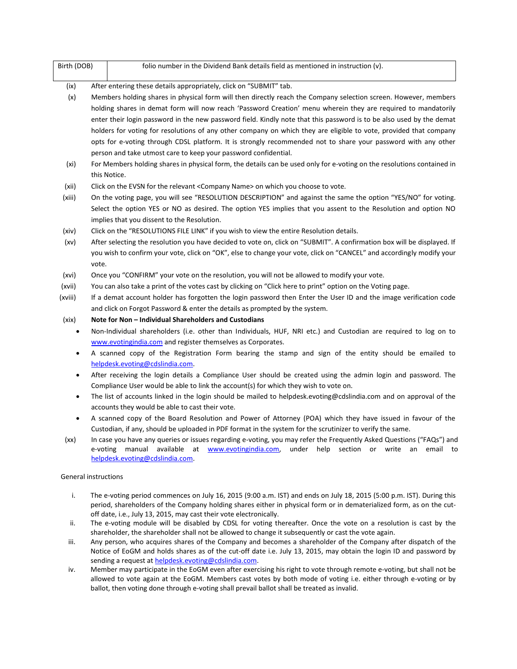| Birth (DOB)          |          | folio number in the Dividend Bank details field as mentioned in instruction (v).                                                                                                                                                                                                                                                                                                                                                                                                                                                                                                                                                                                  |
|----------------------|----------|-------------------------------------------------------------------------------------------------------------------------------------------------------------------------------------------------------------------------------------------------------------------------------------------------------------------------------------------------------------------------------------------------------------------------------------------------------------------------------------------------------------------------------------------------------------------------------------------------------------------------------------------------------------------|
| (ix)                 |          | After entering these details appropriately, click on "SUBMIT" tab.                                                                                                                                                                                                                                                                                                                                                                                                                                                                                                                                                                                                |
| (x)                  |          | Members holding shares in physical form will then directly reach the Company selection screen. However, members<br>holding shares in demat form will now reach 'Password Creation' menu wherein they are required to mandatorily<br>enter their login password in the new password field. Kindly note that this password is to be also used by the demat<br>holders for voting for resolutions of any other company on which they are eligible to vote, provided that company<br>opts for e-voting through CDSL platform. It is strongly recommended not to share your password with any other<br>person and take utmost care to keep your password confidential. |
| (xi)                 |          | For Members holding shares in physical form, the details can be used only for e-voting on the resolutions contained in<br>this Notice.                                                                                                                                                                                                                                                                                                                                                                                                                                                                                                                            |
| (xii)                |          | Click on the EVSN for the relevant <company name=""> on which you choose to vote.</company>                                                                                                                                                                                                                                                                                                                                                                                                                                                                                                                                                                       |
| (xiii)               |          | On the voting page, you will see "RESOLUTION DESCRIPTION" and against the same the option "YES/NO" for voting.<br>Select the option YES or NO as desired. The option YES implies that you assent to the Resolution and option NO<br>implies that you dissent to the Resolution.                                                                                                                                                                                                                                                                                                                                                                                   |
| (xiv)                |          | Click on the "RESOLUTIONS FILE LINK" if you wish to view the entire Resolution details.                                                                                                                                                                                                                                                                                                                                                                                                                                                                                                                                                                           |
| (xv)                 | vote.    | After selecting the resolution you have decided to vote on, click on "SUBMIT". A confirmation box will be displayed. If<br>you wish to confirm your vote, click on "OK", else to change your vote, click on "CANCEL" and accordingly modify your                                                                                                                                                                                                                                                                                                                                                                                                                  |
| (xvi)                |          | Once you "CONFIRM" your vote on the resolution, you will not be allowed to modify your vote.                                                                                                                                                                                                                                                                                                                                                                                                                                                                                                                                                                      |
| (xvii)               |          | You can also take a print of the votes cast by clicking on "Click here to print" option on the Voting page.                                                                                                                                                                                                                                                                                                                                                                                                                                                                                                                                                       |
| (xviii)              |          | If a demat account holder has forgotten the login password then Enter the User ID and the image verification code<br>and click on Forgot Password & enter the details as prompted by the system.                                                                                                                                                                                                                                                                                                                                                                                                                                                                  |
| (xix)                |          | Note for Non - Individual Shareholders and Custodians                                                                                                                                                                                                                                                                                                                                                                                                                                                                                                                                                                                                             |
| $\bullet$            |          | Non-Individual shareholders (i.e. other than Individuals, HUF, NRI etc.) and Custodian are required to log on to<br>www.evotingindia.com and register themselves as Corporates.                                                                                                                                                                                                                                                                                                                                                                                                                                                                                   |
| ٠                    |          | A scanned copy of the Registration Form bearing the stamp and sign of the entity should be emailed to<br>helpdesk.evoting@cdslindia.com.                                                                                                                                                                                                                                                                                                                                                                                                                                                                                                                          |
| ٠                    |          | After receiving the login details a Compliance User should be created using the admin login and password. The<br>Compliance User would be able to link the account(s) for which they wish to vote on.                                                                                                                                                                                                                                                                                                                                                                                                                                                             |
| ٠                    |          | The list of accounts linked in the login should be mailed to helpdesk.evoting@cdslindia.com and on approval of the<br>accounts they would be able to cast their vote.                                                                                                                                                                                                                                                                                                                                                                                                                                                                                             |
| $\bullet$            |          | A scanned copy of the Board Resolution and Power of Attorney (POA) which they have issued in favour of the<br>Custodian, if any, should be uploaded in PDF format in the system for the scrutinizer to verify the same.                                                                                                                                                                                                                                                                                                                                                                                                                                           |
| (xx)                 | e-voting | In case you have any queries or issues regarding e-voting, you may refer the Frequently Asked Questions ("FAQs") and<br>manual available<br>under help section or write an email to<br>at www.evotingindia.com,<br>helpdesk.evoting@cdslindia.com.                                                                                                                                                                                                                                                                                                                                                                                                                |
| General instructions |          |                                                                                                                                                                                                                                                                                                                                                                                                                                                                                                                                                                                                                                                                   |
| i.                   |          | The e-voting period commences on July 16, 2015 (9:00 a.m. IST) and ends on July 18, 2015 (5:00 p.m. IST). During this<br>period, shareholders of the Company holding shares either in physical form or in dematerialized form, as on the cut-<br>off date, i.e., July 13, 2015, may cast their vote electronically.                                                                                                                                                                                                                                                                                                                                               |
| ii.                  |          | The e-voting module will be disabled by CDSL for voting thereafter. Once the vote on a resolution is cast by the<br>shareholder, the shareholder shall not be allowed to change it subsequently or cast the vote again.                                                                                                                                                                                                                                                                                                                                                                                                                                           |
| iii                  |          | Any nerson, who acquires shares of the Company and becomes a shareholder of the Company after dispatch of the                                                                                                                                                                                                                                                                                                                                                                                                                                                                                                                                                     |

- iii. Any person, who acquires shares of the Company and becomes a shareholder of the Company after dispatch of the Notice of EoGM and holds shares as of the cut-off date i.e. July 13, 2015, may obtain the login ID and password by sending a request at [helpdesk.evoting@cdslindia.com.](mailto:helpdesk.evoting@cdslindia.com)
- iv. Member may participate in the EoGM even after exercising his right to vote through remote e-voting, but shall not be allowed to vote again at the EoGM. Members cast votes by both mode of voting i.e. either through e-voting or by ballot, then voting done through e-voting shall prevail ballot shall be treated as invalid.